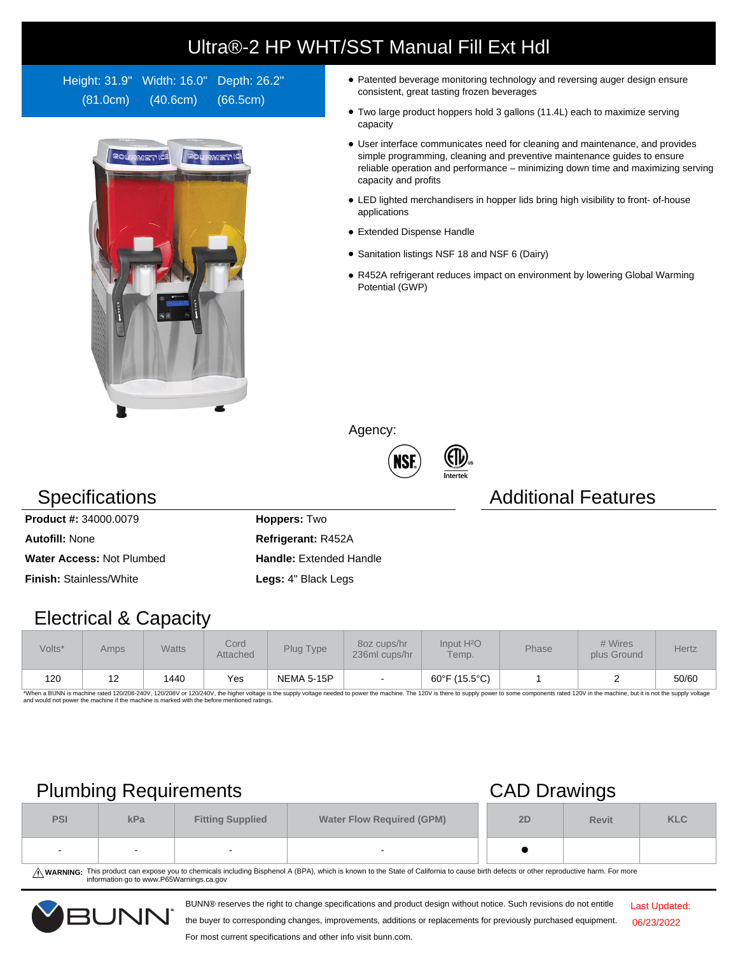# Ultra®-2 HP WHT/SST Manual Fill Ext Hdl

Height: 31.9" Width: 16.0" Depth: 26.2" (81.0cm) (40.6cm) (66.5cm)



- Patented beverage monitoring technology and reversing auger design ensure consistent, great tasting frozen beverages
- Two large product hoppers hold 3 gallons (11.4L) each to maximize serving capacity
- User interface communicates need for cleaning and maintenance, and provides simple programming, cleaning and preventive maintenance guides to ensure reliable operation and performance – minimizing down time and maximizing serving capacity and profits
- LED lighted merchandisers in hopper lids bring high visibility to front- of-house applications
- Extended Dispense Handle
- Sanitation listings NSF 18 and NSF 6 (Dairy)
- R452A refrigerant reduces impact on environment by lowering Global Warming Potential (GWP)

Agency:



### Specifications **Additional Features** Additional Features

**Product #:** 34000.0079 **Hoppers:** Two **Autofill:** None **Refrigerant:** R452A **Water Access: Not Plumbed <b>Handle:** Extended Handle **Finish:** Stainless/White **Legs:** 4" Black Legs

## Electrical & Capacity

| Volts* | Amps | <b>Watts</b> | Cord.<br>Attached | Plug Type         | 8oz cups/hr<br>236ml cups/hr | Input H <sup>2</sup> O<br>Temp. | Phase | # Wires<br>plus Ground | <b>Hertz</b> |
|--------|------|--------------|-------------------|-------------------|------------------------------|---------------------------------|-------|------------------------|--------------|
| 120    | 12   | 1440         | Yes               | <b>NEMA 5-15P</b> |                              | 60°F (15.5°C)                   |       |                        | 50/60        |

\*When a BUNN is machine rated 120/208-240V, 120/208V or 120/240V, the higher voltage is the supply voltage needed to power the machine. The 120V is there to supply power to some components rated 120V in the machine, but it

# Plumbing Requirements CAD Drawings

|            |     |                         | __                               |    |              |            |
|------------|-----|-------------------------|----------------------------------|----|--------------|------------|
| <b>PSI</b> | kPa | <b>Fitting Supplied</b> | <b>Water Flow Required (GPM)</b> | 2D | <b>Revit</b> | <b>KLC</b> |
| $\sim$     | -   |                         | $\overline{\phantom{a}}$         |    |              |            |

WARNING: This product can expose you to chemicals including Bisphenol A (BPA), which is known to the State of California to cause birth defects or other reproductive harm. For more<br>information go to www.P65Warnings.ca.gov

BUNN® reserves the right to change specifications and product design without notice. Such revisions do not entitle



the buyer to corresponding changes, improvements, additions or replacements for previously purchased equipment.

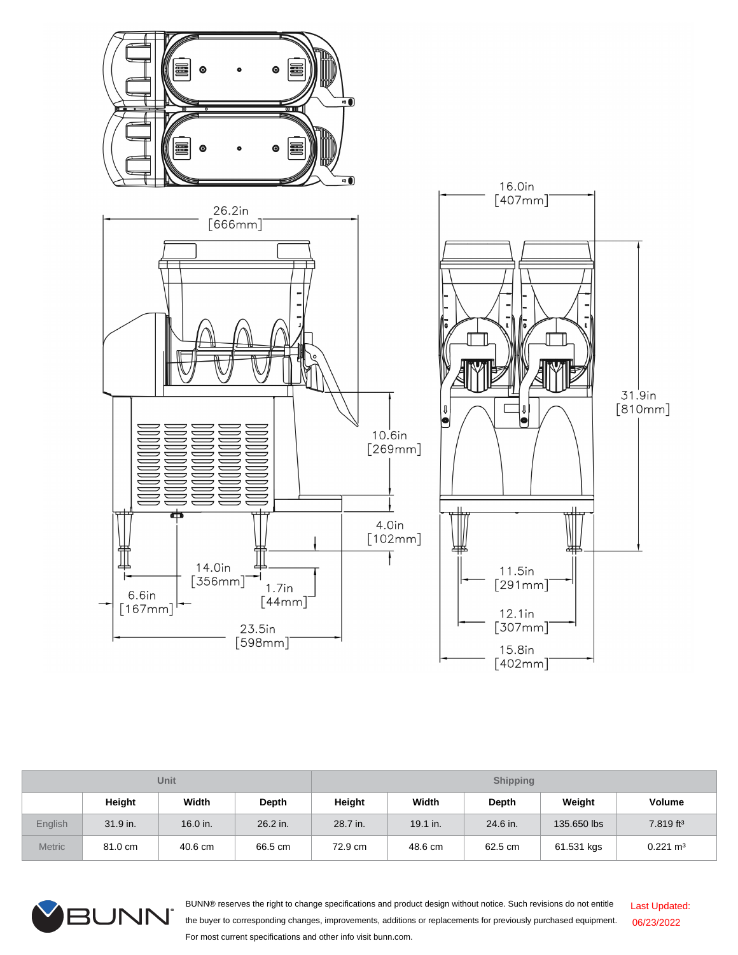

| <b>Unit</b>    |            |          |              | <b>Shipping</b> |            |          |             |                       |  |
|----------------|------------|----------|--------------|-----------------|------------|----------|-------------|-----------------------|--|
|                | Height     | Width    | <b>Depth</b> | Height          | Width      | Depth    | Weight      | <b>Volume</b>         |  |
| <b>English</b> | $31.9$ in. | 16.0 in. | 26.2 in.     | 28.7 in.        | $19.1$ in. | 24.6 in. | 135,650 lbs | 7.819 ft <sup>3</sup> |  |
| <b>Metric</b>  | 81.0 cm    | 40.6 cm  | 66.5 cm      | 72.9 cm         | 48.6 cm    | 62.5 cm  | 61.531 kgs  | $0.221 \text{ m}^3$   |  |



BUNN® reserves the right to change specifications and product design without notice. Such revisions do not entitle the buyer to corresponding changes, improvements, additions or replacements for previously purchased equipment. For most current specifications and other info visit bunn.com. Last Updated: 06/23/2022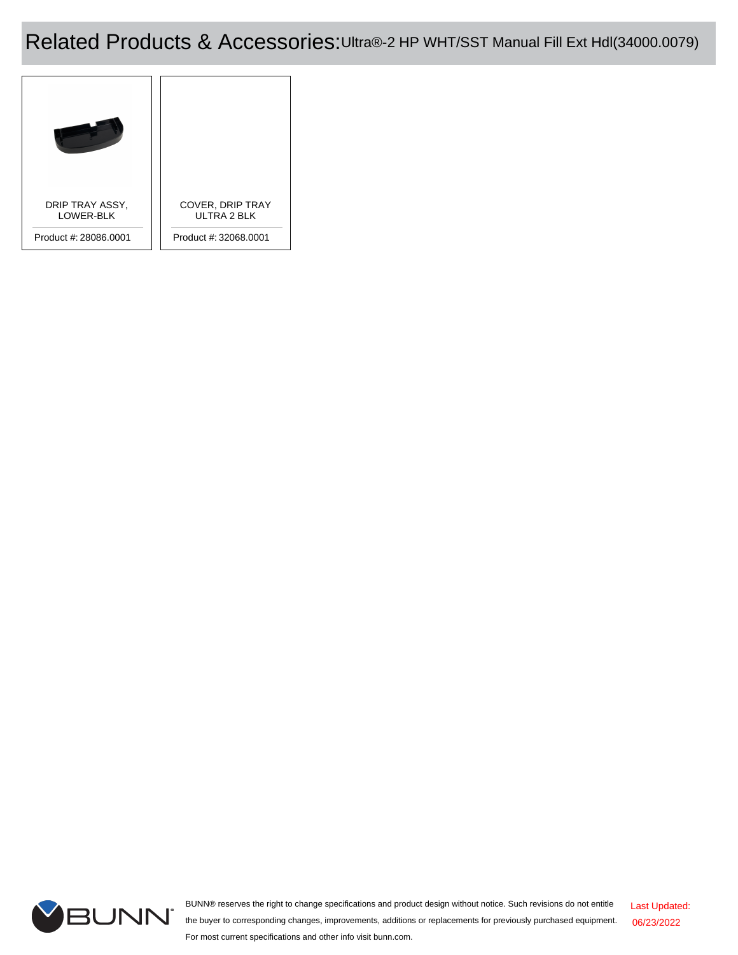## Related Products & Accessories:Ultra®-2 HP WHT/SST Manual Fill Ext Hdl(34000.0079)